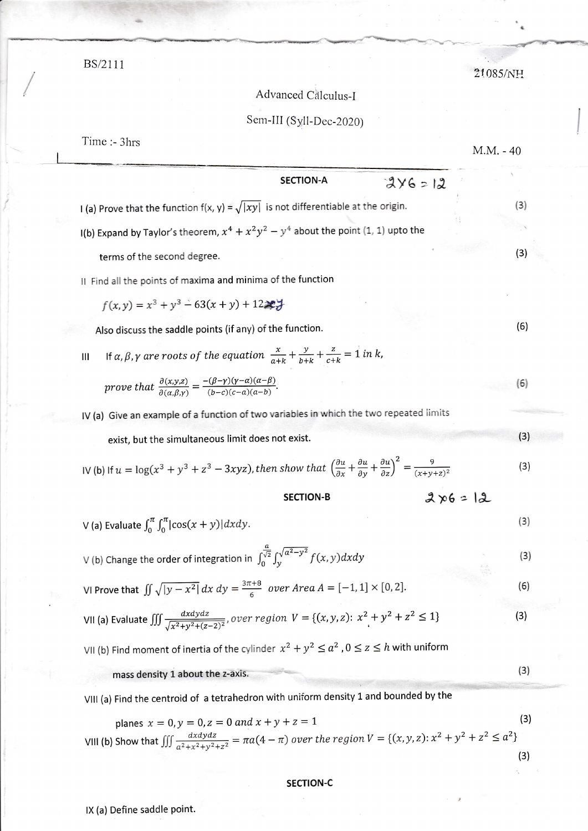planes 
$$
x = 0, y = 0, z = 0
$$
 and  $x + y + z = 1$  (3)

VIII (b) Show that 
$$
\iiint \frac{dx dy dz}{a^2 + x^2 + y^2 + z^2} = \pi a(4 - \pi) \text{ over the region } V = \{(x, y, z): x^2 + y^2 + z^2 \le a^2\}
$$
 (3)

## **SECTION-C**

BS/2111

## Advanced Calculus-I

## Sem-III (Syll-Dec-2020)

| Time :- 3hrs                                                                                                                                                                                                                             |                                                                                                                                  |                  |            | $M.M. - 40$ |     |
|------------------------------------------------------------------------------------------------------------------------------------------------------------------------------------------------------------------------------------------|----------------------------------------------------------------------------------------------------------------------------------|------------------|------------|-------------|-----|
|                                                                                                                                                                                                                                          |                                                                                                                                  | <b>SECTION-A</b> | $246 = 12$ |             |     |
| I (a) Prove that the function $f(x, y) = \sqrt{ xy }$ is not differentiable at the origin.                                                                                                                                               |                                                                                                                                  |                  |            |             | (3) |
| I(b) Expand by Taylor's theorem, $x^4 + x^2y^2 - y^4$ about the point (1, 1) upto the                                                                                                                                                    |                                                                                                                                  |                  |            |             |     |
| terms of the second degree.                                                                                                                                                                                                              |                                                                                                                                  |                  |            |             | (3) |
| II Find all the points of maxima and minima of the function                                                                                                                                                                              |                                                                                                                                  |                  |            |             |     |
|                                                                                                                                                                                                                                          | $f(x, y) = x^3 + y^3 - 63(x + y) + 12x +$                                                                                        |                  |            |             |     |
|                                                                                                                                                                                                                                          | Also discuss the saddle points (if any) of the function.                                                                         |                  |            |             | (6) |
| Ш                                                                                                                                                                                                                                        | If $\alpha$ , $\beta$ , $\gamma$ are roots of the equation $\frac{x}{a+k} + \frac{y}{b+k} + \frac{z}{c+k} = 1$ in k,             |                  |            |             |     |
|                                                                                                                                                                                                                                          | prove that $\frac{\partial(x,y,z)}{\partial(\alpha\beta,y)} = \frac{-(\beta-y)(\gamma-\alpha)(\alpha-\beta)}{(b-c)(c-a)(a-b)}$ . |                  |            |             | (6) |
| IV (a) Give an example of a function of two variables in which the two repeated limits                                                                                                                                                   |                                                                                                                                  |                  |            |             |     |
|                                                                                                                                                                                                                                          | exist, but the simultaneous limit does not exist.                                                                                |                  |            |             | (3) |
| IV (b) If $u = \log(x^3 + y^3 + z^3 - 3xyz)$ , then show that $\left(\frac{\partial u}{\partial x} + \frac{\partial u}{\partial y} + \frac{\partial u}{\partial z}\right)^2 = \frac{9}{(x + v + z)^2}$<br>$2x6 = 12$<br><b>SECTION-B</b> |                                                                                                                                  |                  |            |             | (3) |
|                                                                                                                                                                                                                                          |                                                                                                                                  |                  |            |             |     |
| V (a) Evaluate $\int_0^{\pi} \int_0^{\pi}  \cos(x+y)  dx dy$ .                                                                                                                                                                           |                                                                                                                                  |                  |            |             | (3) |
| V (b) Change the order of integration in $\int_0^{\frac{a}{\sqrt{2}}} \int_\nu^{\sqrt{a^2-y^2}} f(x, y) dx dy$                                                                                                                           |                                                                                                                                  |                  |            |             | (3) |
| VI Prove that $\iint \sqrt{ y-x^2 } dx dy = \frac{3\pi+8}{6}$ over Area $A = [-1,1] \times [0,2].$                                                                                                                                       |                                                                                                                                  |                  |            |             | (6) |
| VII (a) Evaluate $\iiint \frac{dxdydz}{\sqrt{x^2+y^2+(z-2)^2}}$ , over region $V = \{(x,y,z): x^2 + y^2 + z^2 \le 1\}$                                                                                                                   |                                                                                                                                  |                  |            |             | (3) |
| VII (b) Find moment of inertia of the cylinder $x^2 + y^2 \le a^2$ , $0 \le z \le h$ with uniform                                                                                                                                        |                                                                                                                                  |                  |            |             |     |
| mass density 1 about the z-axis.                                                                                                                                                                                                         |                                                                                                                                  |                  |            |             | (3) |
| VIII (a) Find the centroid of a tetrahedron with uniform density 1 and bounded by the                                                                                                                                                    |                                                                                                                                  |                  |            |             |     |

21085/NH